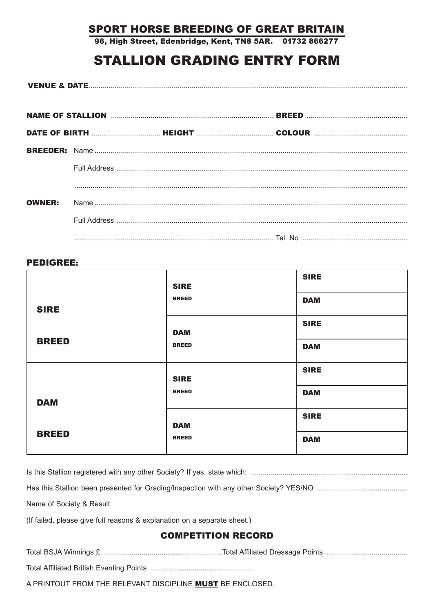# SPORT HORSE BREEDING OF GREAT BRITAIN SPORT HORSE BREEDING OF GREAT BRITAIN

96, High Street, Edenbridge, Kent, TN8 5AR. 01732 866277

# STALLION GRADING ENTRY FORM STALLION GRADING ENTRY

| <b>VENUE &amp; DATE</b><br>. G UA' |
|------------------------------------|
|------------------------------------|

| <b>OWNER:</b> |  |  |  |
|---------------|--|--|--|
|               |  |  |  |
|               |  |  |  |

## PEDIGREE:

|              | <b>SIRE</b>  | <b>SIRE</b> |
|--------------|--------------|-------------|
| <b>SIRE</b>  | <b>BREED</b> | <b>DAM</b>  |
|              | <b>DAM</b>   | <b>SIRE</b> |
| <b>BREED</b> | <b>BREED</b> | <b>DAM</b>  |
|              | <b>SIRE</b>  | <b>SIRE</b> |
| <b>DAM</b>   | <b>BREED</b> | <b>DAM</b>  |
|              | <b>DAM</b>   | <b>SIRE</b> |
| <b>BREED</b> | <b>BREED</b> | <b>DAM</b>  |
|              |              |             |

| Name of Society & Result |
|--------------------------|

(If failed, please give full reasons & explanation on a separate sheet.)

## COMPETITION RECORD

Total BSJA Winnings £ ...........................................................Total Affiliated Dressage Points ........................................

Total Affiliated British Eventing Points ...................................................

A PRINTOUT FROM THE RELEVANT DISCIPLINE MUST BE ENCLOSED.